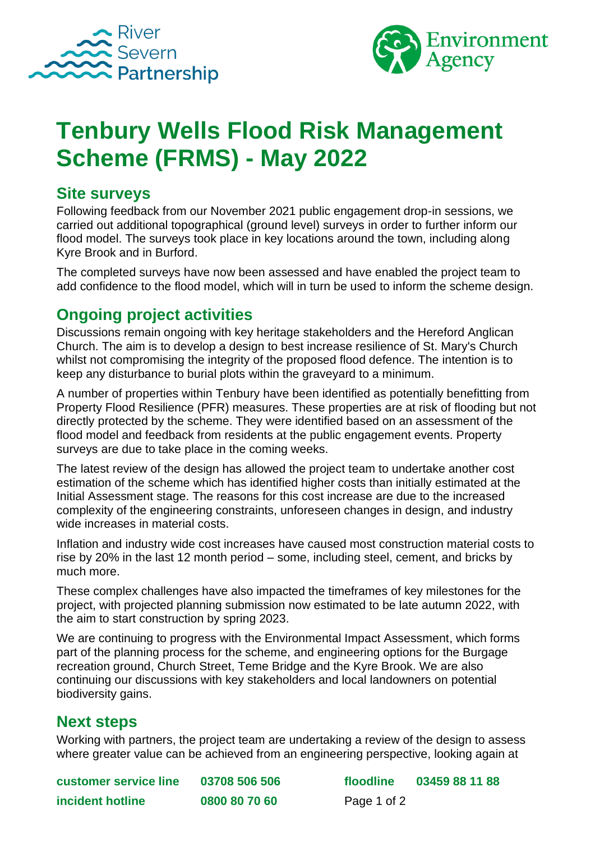



# **Tenbury Wells Flood Risk Management Scheme (FRMS) - May 2022**

#### **Site surveys**

Following feedback from our November 2021 public engagement drop-in sessions, we carried out additional topographical (ground level) surveys in order to further inform our flood model. The surveys took place in key locations around the town, including along Kyre Brook and in Burford.

The completed surveys have now been assessed and have enabled the project team to add confidence to the flood model, which will in turn be used to inform the scheme design.

## **Ongoing project activities**

Discussions remain ongoing with key heritage stakeholders and the Hereford Anglican Church. The aim is to develop a design to best increase resilience of St. Mary's Church whilst not compromising the integrity of the proposed flood defence. The intention is to keep any disturbance to burial plots within the graveyard to a minimum.

A number of properties within Tenbury have been identified as potentially benefitting from Property Flood Resilience (PFR) measures. These properties are at risk of flooding but not directly protected by the scheme. They were identified based on an assessment of the flood model and feedback from residents at the public engagement events. Property surveys are due to take place in the coming weeks.

The latest review of the design has allowed the project team to undertake another cost estimation of the scheme which has identified higher costs than initially estimated at the Initial Assessment stage. The reasons for this cost increase are due to the increased complexity of the engineering constraints, unforeseen changes in design, and industry wide increases in material costs.

Inflation and industry wide cost increases have caused most construction material costs to rise by 20% in the last 12 month period – some, including steel, cement, and bricks by much more.

These complex challenges have also impacted the timeframes of key milestones for the project, with projected planning submission now estimated to be late autumn 2022, with the aim to start construction by spring 2023.

We are continuing to progress with the Environmental Impact Assessment, which forms part of the planning process for the scheme, and engineering options for the Burgage recreation ground, Church Street, Teme Bridge and the Kyre Brook. We are also continuing our discussions with key stakeholders and local landowners on potential biodiversity gains.

#### **Next steps**

Working with partners, the project team are undertaking a review of the design to assess where greater value can be achieved from an engineering perspective, looking again at

**customer service line 03708 506 506 floodline 03459 88 11 88 incident hotline 0800 80 70 60** Page 1 of 2